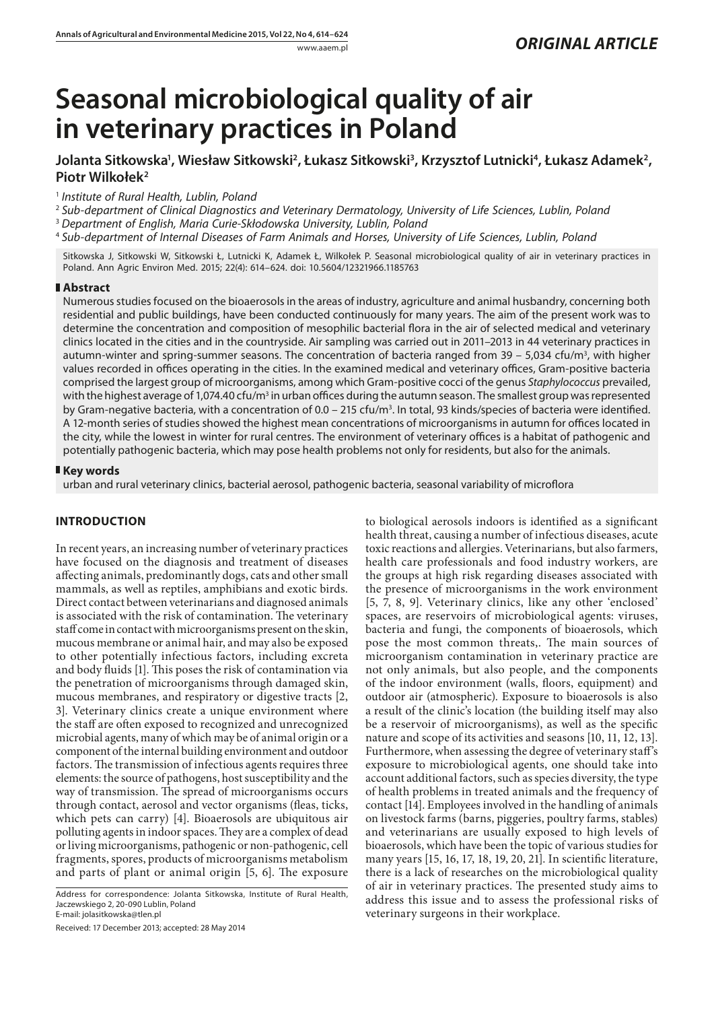# **Seasonal microbiological quality of air in veterinary practices in Poland**

# Jolanta Sitkowska', Wiesław Sitkowski<sup>2</sup>, Łukasz Sitkowski<sup>3</sup>, Krzysztof Lutnicki<sup>4</sup>, Łukasz Adamek<sup>2</sup>, **Piotr Wilkołek2**

<sup>1</sup> *Institute of Rural Health, Lublin, Poland*

<sup>2</sup> *Sub-department of Clinical Diagnostics and Veterinary Dermatology, University of Life Sciences, Lublin, Poland*

<sup>3</sup> *Department of English, Maria Curie-Skłodowska University, Lublin, Poland*

<sup>4</sup> *Sub-department of Internal Diseases of Farm Animals and Horses, University of Life Sciences, Lublin, Poland*

Sitkowska J, Sitkowski W, Sitkowski Ł, Lutnicki K, Adamek Ł, Wilkołek P. Seasonal microbiological quality of air in veterinary practices in Poland. Ann Agric Environ Med. 2015; 22(4): 614–624. doi: 10.5604/12321966.1185763

## **Abstract**

Numerous studies focused on the bioaerosols in the areas of industry, agriculture and animal husbandry, concerning both residential and public buildings, have been conducted continuously for many years. The aim of the present work was to determine the concentration and composition of mesophilic bacterial flora in the air of selected medical and veterinary clinics located in the cities and in the countryside. Air sampling was carried out in 2011–2013 in 44 veterinary practices in autumn-winter and spring-summer seasons. The concentration of bacteria ranged from 39 – 5,034 cfu/m<sup>3</sup>, with higher values recorded in offices operating in the cities. In the examined medical and veterinary offices, Gram-positive bacteria comprised the largest group of microorganisms, among which Gram-positive cocci of the genus *Staphylococcus* prevailed, with the highest average of 1,074.40 cfu/m $^3$  in urban offices during the autumn season. The smallest group was represented by Gram-negative bacteria, with a concentration of 0.0 – 215 cfu/m<sup>3</sup>. In total, 93 kinds/species of bacteria were identified. A 12-month series of studies showed the highest mean concentrations of microorganisms in autumn for offices located in the city, while the lowest in winter for rural centres. The environment of veterinary offices is a habitat of pathogenic and potentially pathogenic bacteria, which may pose health problems not only for residents, but also for the animals.

## **Key words**

urban and rural veterinary clinics, bacterial aerosol, pathogenic bacteria, seasonal variability of microflora

## **INTRODUCTION**

In recent years, an increasing number of veterinary practices have focused on the diagnosis and treatment of diseases affecting animals, predominantly dogs, cats and other small mammals, as well as reptiles, amphibians and exotic birds. Direct contact between veterinarians and diagnosed animals is associated with the risk of contamination. The veterinary staff come in contact with microorganisms present on the skin, mucous membrane or animal hair, and may also be exposed to other potentially infectious factors, including excreta and body fluids [1]. This poses the risk of contamination via the penetration of microorganisms through damaged skin, mucous membranes, and respiratory or digestive tracts [2, 3]. Veterinary clinics create a unique environment where the staff are often exposed to recognized and unrecognized microbial agents, many of which may be of animal origin or a component of the internal building environment and outdoor factors. The transmission of infectious agents requires three elements: the source of pathogens, host susceptibility and the way of transmission. The spread of microorganisms occurs through contact, aerosol and vector organisms (fleas, ticks, which pets can carry) [4]. Bioaerosols are ubiquitous air polluting agents in indoor spaces. They are a complex of dead or living microorganisms, pathogenic or non-pathogenic, cell fragments, spores, products of microorganisms metabolism and parts of plant or animal origin [5, 6]. The exposure

Received: 17 December 2013; accepted: 28 May 2014

to biological aerosols indoors is identified as a significant health threat, causing a number of infectious diseases, acute toxic reactions and allergies. Veterinarians, but also farmers, health care professionals and food industry workers, are the groups at high risk regarding diseases associated with the presence of microorganisms in the work environment [5, 7, 8, 9]. Veterinary clinics, like any other 'enclosed' spaces, are reservoirs of microbiological agents: viruses, bacteria and fungi, the components of bioaerosols, which pose the most common threats,. The main sources of microorganism contamination in veterinary practice are not only animals, but also people, and the components of the indoor environment (walls, floors, equipment) and outdoor air (atmospheric). Exposure to bioaerosols is also a result of the clinic's location (the building itself may also be a reservoir of microorganisms), as well as the specific nature and scope of its activities and seasons [10, 11, 12, 13]. Furthermore, when assessing the degree of veterinary staff's exposure to microbiological agents, one should take into account additional factors, such as species diversity, the type of health problems in treated animals and the frequency of contact [14]. Employees involved in the handling of animals on livestock farms (barns, piggeries, poultry farms, stables) and veterinarians are usually exposed to high levels of bioaerosols, which have been the topic of various studies for many years [15, 16, 17, 18, 19, 20, 21]. In scientific literature, there is a lack of researches on the microbiological quality of air in veterinary practices. The presented study aims to address this issue and to assess the professional risks of veterinary surgeons in their workplace.

Address for correspondence: Jolanta Sitkowska, Institute of Rural Health, Jaczewskiego 2, 20-090 Lublin, Poland E-mail: jolasitkowska@tlen.pl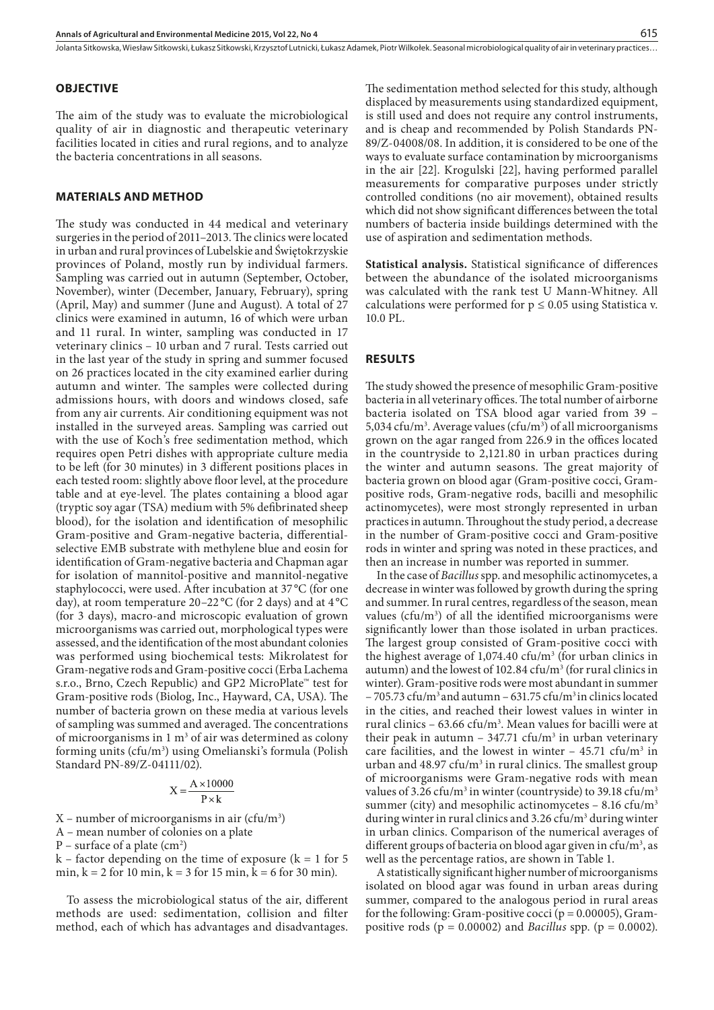#### **OBJECTIVE**

The aim of the study was to evaluate the microbiological quality of air in diagnostic and therapeutic veterinary facilities located in cities and rural regions, and to analyze the bacteria concentrations in all seasons.

#### **MATERIALS AND METHOD**

The study was conducted in 44 medical and veterinary surgeries in the period of 2011–2013. The clinics were located in urban and rural provinces of Lubelskie and Świętokrzyskie provinces of Poland, mostly run by individual farmers. Sampling was carried out in autumn (September, October, November), winter (December, January, February), spring (April, May) and summer (June and August). A total of 27 clinics were examined in autumn, 16 of which were urban and 11 rural. In winter, sampling was conducted in 17 veterinary clinics – 10 urban and 7 rural. Tests carried out in the last year of the study in spring and summer focused on 26 practices located in the city examined earlier during autumn and winter. The samples were collected during admissions hours, with doors and windows closed, safe from any air currents. Air conditioning equipment was not installed in the surveyed areas. Sampling was carried out with the use of Koch's free sedimentation method, which requires open Petri dishes with appropriate culture media to be left (for 30 minutes) in 3 different positions places in each tested room: slightly above floor level, at the procedure table and at eye-level. The plates containing a blood agar (tryptic soy agar (TSA) medium with 5% defibrinated sheep blood), for the isolation and identification of mesophilic Gram-positive and Gram-negative bacteria, differentialselective EMB substrate with methylene blue and eosin for identification of Gram-negative bacteria and Chapman agar for isolation of mannitol-positive and mannitol-negative staphylococci, were used. After incubation at 37 °C (for one day), at room temperature 20–22 °C (for 2 days) and at 4 °C (for 3 days), macro-and microscopic evaluation of grown microorganisms was carried out, morphological types were assessed, and the identification of the most abundant colonies was performed using biochemical tests: Mikrolatest for Gram-negative rods and Gram-positive cocci (Erba Lachema s.r.o., Brno, Czech Republic) and GP2 MicroPlate™ test for Gram-positive rods (Biolog, Inc., Hayward, CA, USA). The number of bacteria grown on these media at various levels of sampling was summed and averaged. The concentrations of microorganisms in  $1 \text{ m}^3$  of air was determined as colony forming units (cfu/m3 ) using Omelianski's formula (Polish Standard PN-89/Z-04111/02).

$$
X = \frac{A \times 10000}{P \times k}
$$

- $X$  number of microorganisms in air (cfu/m<sup>3</sup>)
- A mean number of colonies on a plate
- $P$  surface of a plate (cm<sup>2</sup>)
- $k -$  factor depending on the time of exposure ( $k = 1$  for 5 min,  $k = 2$  for 10 min,  $k = 3$  for 15 min,  $k = 6$  for 30 min).

To assess the microbiological status of the air, different methods are used: sedimentation, collision and filter method, each of which has advantages and disadvantages.

The sedimentation method selected for this study, although displaced by measurements using standardized equipment, is still used and does not require any control instruments, and is cheap and recommended by Polish Standards PN-89/Z-04008/08. In addition, it is considered to be one of the ways to evaluate surface contamination by microorganisms in the air [22]. Krogulski [22], having performed parallel measurements for comparative purposes under strictly controlled conditions (no air movement), obtained results which did not show significant differences between the total numbers of bacteria inside buildings determined with the use of aspiration and sedimentation methods.

**Statistical analysis.** Statistical significance of differences between the abundance of the isolated microorganisms was calculated with the rank test U Mann-Whitney. All calculations were performed for  $p \le 0.05$  using Statistica v. 10.0 PL.

#### **RESULTS**

The study showed the presence of mesophilic Gram-positive bacteria in all veterinary offices. The total number of airborne bacteria isolated on TSA blood agar varied from 39 – 5,034  $cfu/m<sup>3</sup>$ . Average values ( $cfu/m<sup>3</sup>$ ) of all microorganisms grown on the agar ranged from 226.9 in the offices located in the countryside to 2,121.80 in urban practices during the winter and autumn seasons. The great majority of bacteria grown on blood agar (Gram-positive cocci, Grampositive rods, Gram-negative rods, bacilli and mesophilic actinomycetes), were most strongly represented in urban practices in autumn. Throughout the study period, a decrease in the number of Gram-positive cocci and Gram-positive rods in winter and spring was noted in these practices, and then an increase in number was reported in summer.

In the case of *Bacillus* spp. and mesophilic actinomycetes, a decrease in winter was followed by growth during the spring and summer. In rural centres, regardless of the season, mean values ( $cfu/m<sup>3</sup>$ ) of all the identified microorganisms were significantly lower than those isolated in urban practices. The largest group consisted of Gram-positive cocci with the highest average of  $1,074.40 \text{ cfu/m}^3$  (for urban clinics in autumn) and the lowest of 102.84  $cfu/m^3$  (for rural clinics in winter). Gram-positive rods were most abundant in summer  $-705.73$  cfu/m<sup>3</sup> and autumn – 631.75 cfu/m<sup>3</sup> in clinics located in the cities, and reached their lowest values in winter in rural clinics –  $63.66 \text{ cfu/m}^3$ . Mean values for bacilli were at their peak in autumn  $-347.71 \text{ cfu/m}^3$  in urban veterinary care facilities, and the lowest in winter  $-45.71 \text{ cfu/m}^3$  in urban and  $48.97 \text{ cfu/m}^3$  in rural clinics. The smallest group of microorganisms were Gram-negative rods with mean values of 3.26 cfu/m<sup>3</sup> in winter (countryside) to 39.18 cfu/m<sup>3</sup> summer (city) and mesophilic actinomycetes  $-8.16 \text{ cfu/m}^3$ during winter in rural clinics and 3.26 cfu/m<sup>3</sup> during winter in urban clinics. Comparison of the numerical averages of different groups of bacteria on blood agar given in cfu/ $m<sup>3</sup>$ , as well as the percentage ratios, are shown in Table 1.

A statistically significant higher number of microorganisms isolated on blood agar was found in urban areas during summer, compared to the analogous period in rural areas for the following: Gram-positive cocci ( $p = 0.00005$ ), Grampositive rods (p = 0.00002) and *Bacillus* spp. (p = 0.0002).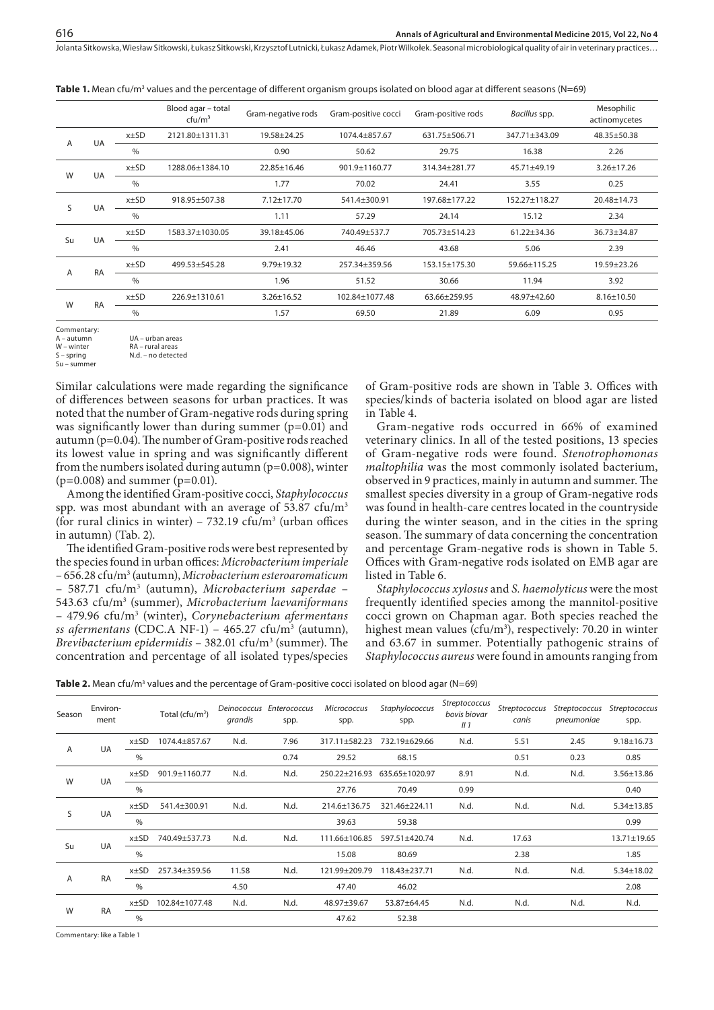|    |           |                                                | Blood agar - total<br>$cfu/m^3$ | Gram-negative rods | Gram-positive cocci | Gram-positive rods | Bacillus spp. | Mesophilic<br>actinomycetes |
|----|-----------|------------------------------------------------|---------------------------------|--------------------|---------------------|--------------------|---------------|-----------------------------|
|    |           | $x\pm SD$                                      | 2121.80±1311.31                 | 19.58±24.25        | 1074.4±857.67       | 631.75±506.71      | 347.71±343.09 | 48.35±50.38                 |
| A  | UA        | $\%$                                           |                                 | 0.90               | 50.62               | 29.75              | 16.38         | 2.26                        |
| W  |           | $x \pm SD$                                     | 1288.06±1384.10                 | 22.85±16.46        | 901.9±1160.77       | 314.34±281.77      | 45.71±49.19   | $3.26 \pm 17.26$            |
|    | UA        | $\%$                                           |                                 | 1.77               | 70.02               | 24.41              | 3.55          | 0.25                        |
|    |           | $x\pm SD$                                      | 918.95±507.38                   | $7.12 \pm 17.70$   | 541.4±300.91        | 197.68±177.22      | 152.27±118.27 | 20.48±14.73                 |
| S  | UA        | $\frac{0}{0}$                                  |                                 | 1.11               | 57.29               | 24.14              | 15.12         | 2.34                        |
| Su | UA        | $x\pm SD$                                      | 1583.37±1030.05                 | 39.18±45.06        | 740.49±537.7        | 705.73±514.23      | 61.22±34.36   | 36.73±34.87                 |
|    |           | $\%$                                           |                                 | 2.41               | 46.46               | 43.68              | 5.06          | 2.39                        |
|    | <b>RA</b> | $x\pm SD$                                      | 499.53+545.28                   | $9.79 \pm 19.32$   | 257.34+359.56       | $153.15 + 175.30$  | 59.66+115.25  | 19.59±23.26                 |
| A  |           | $\%$                                           |                                 | 1.96               | 51.52               | 30.66              | 11.94         | 3.92                        |
|    | <b>RA</b> | $x\pm SD$<br>226.9±1310.61<br>$3.26 \pm 16.52$ |                                 |                    | 102.84±1077.48      | 63.66±259.95       | 48.97±42.60   | $8.16 \pm 10.50$            |
| W  |           | $\frac{0}{0}$                                  |                                 | 1.57               | 69.50               | 21.89              | 6.09          | 0.95                        |

**Table 1.** Mean cfu/m<sup>3</sup> values and the percentage of different organism groups isolated on blood agar at different seasons (N=69)

Commentary:<br>A - autumn

A – autumn UA – urban areas

W – winter RA – rural areas<br>S – spring RA – rural areas

 $Su - sum$ 

N.d. – no detected

Similar calculations were made regarding the significance of differences between seasons for urban practices. It was noted that the number of Gram-negative rods during spring was significantly lower than during summer  $(p=0.01)$  and autumn (p=0.04). The number of Gram-positive rods reached its lowest value in spring and was significantly different from the numbers isolated during autumn ( $p=0.008$ ), winter  $(p=0.008)$  and summer  $(p=0.01)$ .

Among the identified Gram-positive cocci, *Staphylococcus* spp. was most abundant with an average of  $53.87 \text{ cfu/m}^3$ (for rural clinics in winter) –  $732.19 \text{ cfu/m}^3$  (urban offices in autumn) (Tab. 2).

The identified Gram-positive rods were best represented by the species found in urban offices: *Microbacterium imperiale* – 656.28 cfu/m3 (autumn), *Microbacterium esteroaromaticum* – 587.71 cfu/m3 (autumn), *Microbacterium saperdae* – 543.63 cfu/m3 (summer), *Microbacterium laevaniformans* – 479.96 cfu/m3 (winter), *Corynebacterium afermentans*  ss afermentans (CDC.A NF-1) – 465.27 cfu/m<sup>3</sup> (autumn), *Brevibacterium epidermidis* – 382.01 cfu/m3 (summer). The concentration and percentage of all isolated types/species

of Gram-positive rods are shown in Table 3. Offices with species/kinds of bacteria isolated on blood agar are listed in Table 4.

Gram-negative rods occurred in 66% of examined veterinary clinics. In all of the tested positions, 13 species of Gram-negative rods were found. *Stenotrophomonas maltophilia* was the most commonly isolated bacterium, observed in 9 practices, mainly in autumn and summer. The smallest species diversity in a group of Gram-negative rods was found in health-care centres located in the countryside during the winter season, and in the cities in the spring season. The summary of data concerning the concentration and percentage Gram-negative rods is shown in Table 5. Offices with Gram-negative rods isolated on EMB agar are listed in Table 6.

*Staphylococcus xylosus* and *S. haemolyticus* were the most frequently identified species among the mannitol-positive cocci grown on Chapman agar. Both species reached the highest mean values (cfu/m<sup>3</sup>), respectively: 70.20 in winter and 63.67 in summer. Potentially pathogenic strains of *Staphylococcus aureus* were found in amounts ranging from

| Table 2. Mean cfu/m <sup>3</sup> values and the percentage of Gram-positive cocci isolated on blood agar (N=69) |  |  |
|-----------------------------------------------------------------------------------------------------------------|--|--|
|                                                                                                                 |  |  |

| Season | Environ-<br>ment |               | Total (cfu/m <sup>3</sup> ) | Deinococcus<br>grandis | Enterococcus<br>spp. | <b>Micrococcus</b><br>spp. | Staphylococcus<br>spp. | Streptococcus<br>bovis biovar<br>II <sub>1</sub> | Streptococcus<br>canis | Streptococcus<br>pneumoniae | <b>Streptococcus</b><br>spp. |
|--------|------------------|---------------|-----------------------------|------------------------|----------------------|----------------------------|------------------------|--------------------------------------------------|------------------------|-----------------------------|------------------------------|
|        | UA               | $x \pm SD$    | 1074.4±857.67               | N.d.                   | 7.96                 | 317.11±582.23              | 732.19+629.66          | N.d.                                             | 5.51                   | 2.45                        | $9.18 \pm 16.73$             |
| A      |                  | $\%$          |                             |                        | 0.74                 | 29.52                      | 68.15                  |                                                  | 0.51                   | 0.23                        | 0.85                         |
|        |                  | x±SD          | 901.9±1160.77               | N.d.                   | N.d.                 | 250.22±216.93              | 635.65±1020.97         | 8.91                                             | N.d.                   | N.d.                        | 3.56±13.86                   |
| W      | UA               | $\%$          |                             |                        |                      | 27.76                      | 70.49                  | 0.99                                             |                        |                             | 0.40                         |
| S      | UA               | $x \pm SD$    | 541.4±300.91                | N.d.                   | N.d.                 | 214.6±136.75               | 321.46±224.11          | N.d.                                             | N.d.                   | N.d.                        | $5.34 \pm 13.85$             |
|        |                  | $\%$          |                             |                        |                      | 39.63                      | 59.38                  |                                                  |                        |                             | 0.99                         |
| Su     | UA               | $x\pm SD$     | 740.49±537.73               | N.d.                   | N.d.                 | 111.66±106.85              | 597.51±420.74          | N.d.                                             | 17.63                  |                             | 13.71±19.65                  |
|        |                  | $\%$          |                             |                        |                      | 15.08                      | 80.69                  |                                                  | 2.38                   |                             | 1.85                         |
|        |                  | $x\pm SD$     | 257.34±359.56               | 11.58                  | N.d.                 | 121.99±209.79              | 118.43±237.71          | N.d.                                             | N.d.                   | N.d.                        | $5.34 \pm 18.02$             |
| A      | <b>RA</b>        | $\%$          |                             | 4.50                   |                      | 47.40                      | 46.02                  |                                                  |                        |                             | 2.08                         |
|        |                  | x±SD          | 102.84±1077.48              | N.d.                   | N.d.                 | 48.97±39.67                | 53.87±64.45            | N.d.                                             | N.d.                   | N.d.                        | N.d.                         |
| W      | <b>RA</b>        | $\frac{0}{0}$ |                             |                        |                      | 47.62                      | 52.38                  |                                                  |                        |                             |                              |

Commentary: like a Table 1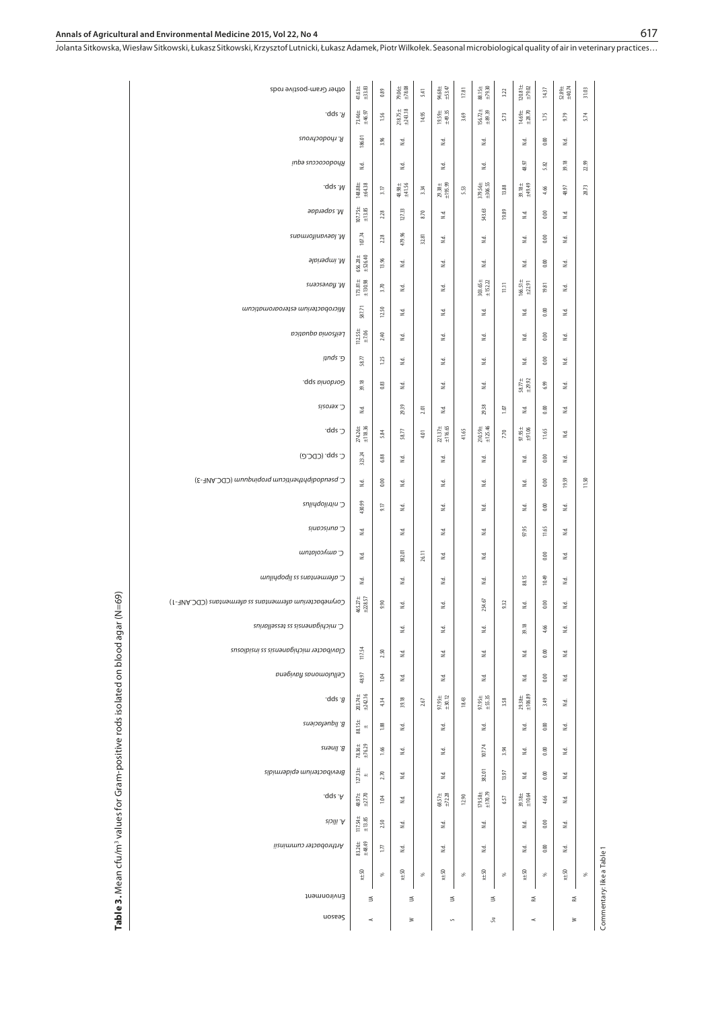Jolanta Sitkowska, Wiesław Sitkowski, Łukasz Sitkowski, Krzysztof Lutnicki, Łukasz Adamek, Piotr Wilkołek . Seasonal microbiological quality of air in veterinary practices…

| Environment<br>nosses                                     | ₹<br>$\prec$                                           |                 | ≦<br>$\geq$                                             |          | $\leq$<br>$\sim$                                             |           | ≦<br>SI,                     |             | 乏<br>$\preceq$                                         |               | 乏<br>$\geq$                     |       |
|-----------------------------------------------------------|--------------------------------------------------------|-----------------|---------------------------------------------------------|----------|--------------------------------------------------------------|-----------|------------------------------|-------------|--------------------------------------------------------|---------------|---------------------------------|-------|
|                                                           | $x \pm 50$                                             | s,              | $x\pm50$                                                | æ        | $x \pm 50$                                                   | æ         | $x \pm 50$                   | æ           | $x\pm50$                                               | S,            | $x \pm 50$                      | æ     |
| Arthrobacter cumminsii                                    | 83.26±<br>±48.49                                       | $\overline{17}$ | 3                                                       |          | 2d                                                           |           | 3                            |             | 3                                                      | 0.00          | 2                               |       |
| <b>R.</b> ilicis                                          | $\begin{array}{c} 117.54\pm\\ \pm13.85 \end{array}$    | 2.50            | Ξ                                                       |          | $\tilde{z}$                                                  |           | Σś,                          |             | $\mathbbmss{1}$                                        | 0.00          | $\frac{1}{2}$                   |       |
| .qqz .A                                                   | $\begin{array}{r} 48.97 \pm \\ \pm 27.70 \end{array}$  | 104             | Σś,                                                     |          | $\begin{array}{r} 68.57 \pm \\ \pm 72.28 \end{array}$        | 12.90     | $179.58 \pm 170.79$          | 657         | $39.18\pm$                                             | 4,66          | $\tilde{z}$                     |       |
| Brevibacterium epidermidis                                | $127.33 \pm$<br>$^{\rm +}$                             | 2.70            | 2                                                       |          | 2d                                                           |           | 382.01                       | 13.97       | 2                                                      | 0.00          | 2d                              |       |
| B. linens                                                 | $78.36\pm$<br>$+76.29$                                 | 1.66            | 2                                                       |          | 2d                                                           |           | 107.74                       | 3,94        | $\mathbb{E}% _{0}\left[ \mathbb{E}_{A}\right]$         | 0.00          | 2                               |       |
| B. liquefaciens                                           | 88.15±<br>±                                            | 1.88            | 2                                                       |          | 2                                                            |           | 2d                           |             | $\mathbbmss{d}$                                        | 0.00          | 2                               |       |
| .qds .a                                                   | $203.74\pm$<br>$\pm 242.16$                            | 4.34            | 39.18                                                   | $2.67\,$ | 97.95 $\pm$                                                  | 18.43     | $97.95 \pm 55.35$            | 3.58        | $79.38\pm$<br>$\pm106.89$                              | 3.49          | 2                               |       |
| Cellulomonas flavigena                                    | 48.97                                                  | 1.04            | 2                                                       |          | 2.                                                           |           | 2.                           |             | 2.                                                     | 0.00          | 2.                              |       |
| Clavibacter michiganensis ss insidious                    | 117.54                                                 | 2.50            | $\mathbb{R}^d$                                          |          | 2                                                            |           | N.d.                         |             | $\mathbb{E}% _{0}\left[ \mathbb{E}_{A}\right]$         | $0.00\,$      | 2                               |       |
| C. mitahiganensis ss tessellarius                         |                                                        |                 | $\mathbbmss{z}$                                         |          | 2                                                            |           | $\mathbbmss{d}$              |             | 39.18                                                  | 4.66          | 2                               |       |
| CDC.ANF-1J (1-FVA) afermentans ss afermentans (CDC.ANF-1) | $465.27\pm\pm228.57$                                   | 9.90            | $\mathbbmss{d}$                                         |          | 2                                                            |           | 254.67                       | 9.32        | 2                                                      | 0.00          | 2                               |       |
| C. afermentans ss lipoplinm                               | 2                                                      |                 | 2                                                       |          | 2d                                                           |           | 2d                           |             | 88.15                                                  | 10.49         | 2                               |       |
| C. amycolatum                                             | 2d                                                     |                 | 382.01                                                  | 26.11    | 2d                                                           |           | 2d                           |             |                                                        | 0.00          | $_{\rm{nd}}$                    |       |
| C. auniscanis                                             | 2.                                                     |                 | 3                                                       |          | 2                                                            |           | 3                            |             | 97.95                                                  | 11,65         | 2                               |       |
| C. nitrilophilus                                          | 430.99                                                 | 9.17            | 3                                                       |          | 2                                                            |           | 3                            |             | 2                                                      | $0.00\,$      | 2                               |       |
| C. Pseudodiphtheriticum propinantmm (CDC.ANF-3)           | 2                                                      | 0.00            | 2                                                       |          | 2d                                                           |           | 2                            |             | 2                                                      | 0.00          | 19.59                           | 11.50 |
| C. spp. (CDC.G)                                           | 274.26±<br>±118.36<br>323.24                           | 5.84<br>6.88    | 3                                                       | 4.01     | $\begin{array}{c} 221.37 \pm \\ \pm 116.65 \end{array}$<br>2 | 41.65     | 2                            |             | $7.95\pm$<br>$+91.06$<br>Σś,                           | 0.00          | $\tilde{z}$<br>$\sum_{i=1}^{n}$ |       |
| כ׳dds·                                                    | $\mathbb{R}^d$                                         |                 | 29.39<br>$58.77$                                        | 2.01     | $\tilde{z}$                                                  |           | 29.38<br>$210.59 \pm 125.46$ | 107<br>7.70 | $\mathbbmss{z}$                                        | 0.00<br>11.65 | $\tilde{z}$                     |       |
| C. xerosis                                                | 39.18                                                  | 0.83            | $_{\rm 5d}$                                             |          | 2d                                                           |           | $\tilde{a}$                  |             | $\begin{array}{c} 58.77 \pm \\ \pm 29.92 \end{array}$  | 6.99          | $_{\rm{nd}}$                    |       |
| Gordonia spp.                                             | $58.77$                                                | 125             | 2                                                       |          | 2d                                                           |           | 2d                           |             | $\mathbb{E}% _{0}\left[ \mathbb{E}_{A}\right]$         | 0.00          | 2                               |       |
| Leifsonia aquatica<br>פ־ unds!                            | $112.55\pm$                                            | 2.40            | $_{\rm 5d}$                                             |          | 2                                                            |           | 2d                           |             | $\mathbb{E}% _{0}\left[ \mathbb{E}_{A}\right]$         | 600           | 2d                              |       |
| Microbacterium esteroaromaticum                           | 587.71                                                 | 12.50           | $_{\rm 5d}$                                             |          | $_{\rm{nd}}$                                                 |           | $_{\rm sd}$                  |             | $_{\rm 5d}$                                            | 0.00          | 2                               |       |
| M. flavescens                                             | $173.81 \pm$<br>$\pm 130.98$                           | 3.70            | $_{\rm 5d}$                                             |          | 2                                                            |           | $303.65 \pm \\ \pm 152.22$   | $\Xi$       | $16651\pm$<br>$\pm22.91$                               | 19.81         | 2d                              |       |
| M. imperiale                                              | 656.28±<br>±526.40                                     | 13.96           | 2                                                       |          | 2d                                                           |           | 2d                           |             | 2                                                      | $0.00\,$      | 2d                              |       |
| M. laevaniformans                                         | 107.74                                                 | 2.28            | 479.96                                                  | 32.81    | 2d                                                           |           | 2d                           |             | $\mathbb{E}% _{0}\left[ \mathbb{E}_{A}\right]$         | 0.00          | 2                               |       |
| 9ppraqpe.M                                                | $\begin{array}{c} 107.75 \pm \\ \pm 13.85 \end{array}$ | 2.28            | 127.33                                                  | 8.70     | 2                                                            |           | 543.63                       | 19.89       | $\mathbbmss{z}$                                        | 0.00          | 2                               |       |
| .qqs .M                                                   | 148.88±<br>±64.38                                      | 3.17            | $+48.98 +$<br>$+41.56$                                  | 3.34     | $29.38 \pm 195.99$                                           | $5.53$    | 379.56±<br>±306.55           | 13.88       | 39.18±<br>±49.49                                       | 4.66          | 48.97                           | 28.73 |
| iupэ гирэородня                                           | 2                                                      |                 | 2                                                       |          | $\mathbb{E}$                                                 |           | 2                            |             | 48.97                                                  | 5.82          | 39.18                           | 22.99 |
| R. rhodochrous                                            | 186.01                                                 | 3.96            | 2                                                       |          | 2d                                                           |           | 2                            |             | 3                                                      | 0.00          | 2                               |       |
| .qds .A                                                   | $73.46 \pm$<br>$\pm 46.97$                             | 1.56            | $\begin{array}{c} 218.75 \pm \\ \pm 243.18 \end{array}$ | 14.95    | $19.59 +$<br>$\pm 49.35$                                     | 3.69      | $156.72\pm$                  | $5.73$      | $\begin{array}{c} 14.69 \pm \\ +28.70 \end{array}$     | $1.75$        | 9.79                            | 5.74  |
| other Gram-postive rods                                   | $\begin{array}{c} 41.63 \pm \\ +33.83 \end{array}$     | 0.89            | $\begin{array}{c} 79.06 \pm \\ +78.08 \end{array}$      | 5.41     | 94.68±<br>±53.47                                             | $17.81\,$ | $88.15\pm$                   | 3.22        | $\begin{array}{c} 120.81 \pm \\ \pm 79.02 \end{array}$ | $14.37$       | $52.89 +$<br>$+40.74$           | 31.03 |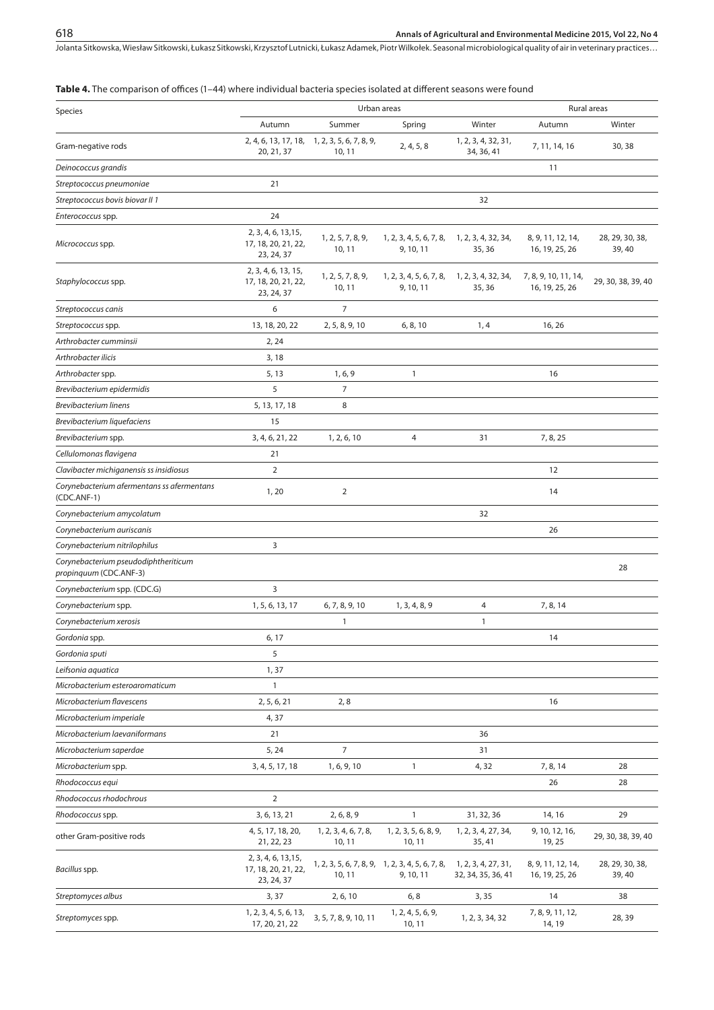#### **Table 4.** The comparison of offices (1–44) where individual bacteria species isolated at different seasons were found

| Species                                                        |                                                          | Urban areas                                            |                                                              | Rural areas                               |                                        |                          |  |  |
|----------------------------------------------------------------|----------------------------------------------------------|--------------------------------------------------------|--------------------------------------------------------------|-------------------------------------------|----------------------------------------|--------------------------|--|--|
|                                                                | Autumn                                                   | Summer                                                 | Spring                                                       | Winter                                    | Autumn                                 | Winter                   |  |  |
| Gram-negative rods                                             | 20, 21, 37                                               | 2, 4, 6, 13, 17, 18, 1, 2, 3, 5, 6, 7, 8, 9,<br>10, 11 | 2, 4, 5, 8                                                   | 1, 2, 3, 4, 32, 31,<br>34, 36, 41         | 7, 11, 14, 16                          | 30,38                    |  |  |
| Deinococcus grandis                                            |                                                          |                                                        |                                                              |                                           | 11                                     |                          |  |  |
| Streptococcus pneumoniae                                       | 21                                                       |                                                        |                                                              |                                           |                                        |                          |  |  |
| Streptococcus bovis biovar II 1                                |                                                          |                                                        |                                                              | 32                                        |                                        |                          |  |  |
| Enterococcus spp.                                              | 24                                                       |                                                        |                                                              |                                           |                                        |                          |  |  |
| Micrococcus spp.                                               | 2, 3, 4, 6, 13, 15,<br>17, 18, 20, 21, 22,<br>23, 24, 37 | 1, 2, 5, 7, 8, 9,<br>10, 11                            | 1, 2, 3, 4, 5, 6, 7, 8,<br>9, 10, 11                         | 1, 2, 3, 4, 32, 34,<br>35, 36             | 8, 9, 11, 12, 14,<br>16, 19, 25, 26    | 28, 29, 30, 38,<br>39,40 |  |  |
| Staphylococcus spp.                                            | 2, 3, 4, 6, 13, 15,<br>17, 18, 20, 21, 22,<br>23, 24, 37 | 1, 2, 5, 7, 8, 9,<br>10, 11                            | 1, 2, 3, 4, 5, 6, 7, 8,<br>9, 10, 11                         | 1, 2, 3, 4, 32, 34,<br>35,36              | 7, 8, 9, 10, 11, 14,<br>16, 19, 25, 26 | 29, 30, 38, 39, 40       |  |  |
| Streptococcus canis                                            | 6                                                        | $\overline{7}$                                         |                                                              |                                           |                                        |                          |  |  |
| Streptococcus spp.                                             | 13, 18, 20, 22                                           | 2, 5, 8, 9, 10                                         | 6, 8, 10                                                     | 1, 4                                      | 16, 26                                 |                          |  |  |
| Arthrobacter cumminsii                                         | 2, 24                                                    |                                                        |                                                              |                                           |                                        |                          |  |  |
| Arthrobacter ilicis                                            | 3,18                                                     |                                                        |                                                              |                                           |                                        |                          |  |  |
| Arthrobacter spp.                                              | 5, 13                                                    | 1, 6, 9                                                | $\mathbf{1}$                                                 |                                           | 16                                     |                          |  |  |
| Brevibacterium epidermidis                                     | 5                                                        | $\overline{7}$                                         |                                                              |                                           |                                        |                          |  |  |
| <b>Brevibacterium linens</b>                                   | 5, 13, 17, 18                                            | 8                                                      |                                                              |                                           |                                        |                          |  |  |
| Brevibacterium liquefaciens                                    | 15                                                       |                                                        |                                                              |                                           |                                        |                          |  |  |
| Brevibacterium spp.                                            | 3, 4, 6, 21, 22                                          | 1, 2, 6, 10                                            | $\overline{4}$                                               | 31                                        | 7, 8, 25                               |                          |  |  |
| Cellulomonas flavigena                                         | 21                                                       |                                                        |                                                              |                                           |                                        |                          |  |  |
| Clavibacter michiganensis ss insidiosus                        | $\overline{2}$                                           |                                                        |                                                              |                                           | 12                                     |                          |  |  |
| Corynebacterium afermentans ss afermentans<br>$(CDC.ANF-1)$    | 1, 20                                                    | $\overline{2}$                                         |                                                              |                                           | 14                                     |                          |  |  |
| Corynebacterium amycolatum                                     |                                                          |                                                        |                                                              | 32                                        |                                        |                          |  |  |
| Corynebacterium auriscanis                                     |                                                          |                                                        |                                                              |                                           | 26                                     |                          |  |  |
| Corynebacterium nitrilophilus                                  | 3                                                        |                                                        |                                                              |                                           |                                        |                          |  |  |
| Corynebacterium pseudodiphtheriticum<br>propinquum (CDC.ANF-3) |                                                          |                                                        |                                                              |                                           |                                        | 28                       |  |  |
| Corynebacterium spp. (CDC.G)                                   | 3                                                        |                                                        |                                                              |                                           |                                        |                          |  |  |
| Corynebacterium spp.                                           | 1, 5, 6, 13, 17                                          | 6, 7, 8, 9, 10                                         | 1, 3, 4, 8, 9                                                | 4                                         | 7, 8, 14                               |                          |  |  |
| Corynebacterium xerosis                                        |                                                          | $\mathbf{1}$                                           |                                                              | $\mathbf{1}$                              |                                        |                          |  |  |
| Gordonia spp.                                                  | 6, 17                                                    |                                                        |                                                              |                                           | 14                                     |                          |  |  |
| Gordonia sputi                                                 | 5                                                        |                                                        |                                                              |                                           |                                        |                          |  |  |
| Leifsonia aquatica                                             | 1,37                                                     |                                                        |                                                              |                                           |                                        |                          |  |  |
| Microbacterium esteroaromaticum                                | $\mathbf{1}$                                             |                                                        |                                                              |                                           |                                        |                          |  |  |
| Microbacterium flavescens                                      | 2, 5, 6, 21                                              | 2, 8                                                   |                                                              |                                           | 16                                     |                          |  |  |
| Microbacterium imperiale                                       | 4,37                                                     |                                                        |                                                              |                                           |                                        |                          |  |  |
| Microbacterium laevaniformans                                  | 21                                                       |                                                        |                                                              | 36                                        |                                        |                          |  |  |
| Microbacterium saperdae                                        | 5, 24                                                    | $\overline{7}$                                         |                                                              | 31                                        |                                        |                          |  |  |
| Microbacterium spp.                                            | 3, 4, 5, 17, 18                                          | 1, 6, 9, 10                                            | $\mathbf{1}$                                                 | 4,32                                      | 7, 8, 14                               | 28                       |  |  |
| Rhodococcus equi                                               |                                                          |                                                        |                                                              |                                           | 26                                     | 28                       |  |  |
| Rhodococcus rhodochrous                                        | $\mathbf 2$                                              |                                                        |                                                              |                                           |                                        |                          |  |  |
| Rhodococcus spp.                                               | 3, 6, 13, 21                                             | 2, 6, 8, 9                                             | $\mathbf{1}$                                                 | 31, 32, 36                                | 14, 16                                 | 29                       |  |  |
| other Gram-positive rods                                       | 4, 5, 17, 18, 20,<br>21, 22, 23                          | 1, 2, 3, 4, 6, 7, 8,<br>10, 11                         | 1, 2, 3, 5, 6, 8, 9,<br>10, 11                               | 1, 2, 3, 4, 27, 34,<br>35, 41             | 9, 10, 12, 16,<br>19, 25               | 29, 30, 38, 39, 40       |  |  |
| Bacillus spp.                                                  | 2, 3, 4, 6, 13, 15,<br>17, 18, 20, 21, 22,<br>23, 24, 37 | 10, 11                                                 | 1, 2, 3, 5, 6, 7, 8, 9, 1, 2, 3, 4, 5, 6, 7, 8,<br>9, 10, 11 | 1, 2, 3, 4, 27, 31,<br>32, 34, 35, 36, 41 | 8, 9, 11, 12, 14,<br>16, 19, 25, 26    | 28, 29, 30, 38,<br>39,40 |  |  |
| Streptomyces albus                                             | 3, 37                                                    | 2, 6, 10                                               | 6, 8                                                         | 3, 35                                     | 14                                     | 38                       |  |  |
| Streptomyces spp.                                              | 1, 2, 3, 4, 5, 6, 13,<br>17, 20, 21, 22                  | 3, 5, 7, 8, 9, 10, 11                                  | 1, 2, 4, 5, 6, 9,<br>10, 11                                  | 1, 2, 3, 34, 32                           | 7, 8, 9, 11, 12,<br>14, 19             | 28, 39                   |  |  |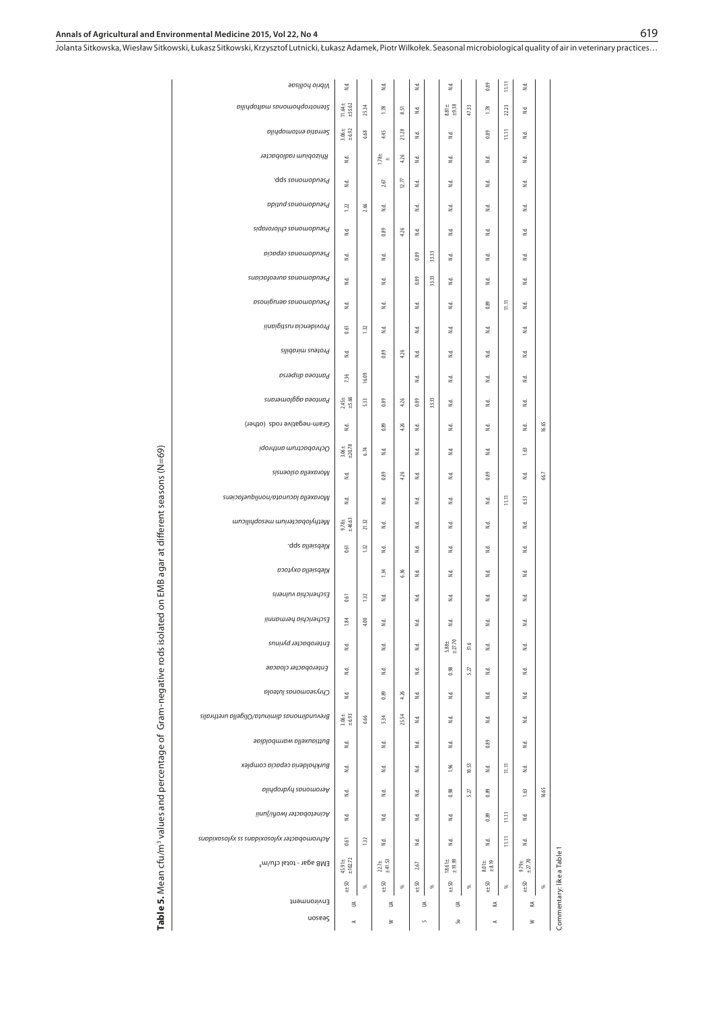Commentary: like a Table 1

Commentary: like a Table 1

#### **Annals of Agricultural and Environmental Medicine 2015, Vol 22, No 4**

Jolanta Sitkowska, Wiesław Sitkowski, Łukasz Sitkowski, Krzysztof Lutnicki, Łukasz Adamek, Piotr Wilkołek . Seasonal microbiological quality of air in veterinary practices…

| Vibrio hollisae                            | $\mathbb{E}$                                         |       | N.d.                                           |       | $_{\rm Nd}$ |       | N.d.                                             |       | 0.89                                                | $\Xi$            | $\mathbbmss{d}$      |       |
|--------------------------------------------|------------------------------------------------------|-------|------------------------------------------------|-------|-------------|-------|--------------------------------------------------|-------|-----------------------------------------------------|------------------|----------------------|-------|
| Stenotrophomonous maltophilia              | 11.64±<br>±5.62                                      | 25.34 | 1.78                                           | 8.51  | $\tilde{z}$ |       | $\begin{array}{r} 8.81 \pm \\ +9.38 \end{array}$ | 47.33 | 1.78                                                | 22.23            | 2.                   |       |
| Serratia entomophila                       | $3.06\pm$<br>$+6.92$                                 | 6.68  | 4.45                                           | 21,28 | 2d          |       | 2                                                |       | 0.89                                                | $\overline{111}$ | 2.                   |       |
| Rhizobitm radiobacter                      | $\mathbb{E}% _{0}\left[ \mathbb{E}_{A}\right]$       |       | $1.78 \pm$                                     | 4.26  | N.d.        |       | $\mathbb{E}% _{0}\left[ \mathbb{E}_{A}\right]$   |       | $\mathbb{E}% _{0}\left[ \mathbb{E}_{A}\right]$      |                  | N.d.                 |       |
| dds spuowopnasd                            | $\mathbb{E}% _{0}\left[ \mathbb{E}_{A}\right]$       |       | 2.67                                           | 12.77 | N.d.        |       | 2                                                |       | 2                                                   |                  | N.d.                 |       |
| ppitud spuomobused                         | 1.22                                                 | 2.66  | 2                                              |       | 2d          |       | 2                                                |       | 2                                                   |                  | 2.                   |       |
| Pseudomonas chlororapis                    | $\mathbb{E}% _{0}\left[ \mathbb{E}_{A}\right]$       |       | 0.89                                           | 4.26  | N.d.        |       | $\mathbb{E}% _{0}\left[ \mathbb{E}_{A}\right]$   |       | $\mathbb{E}% _{0}\left[ \mathbb{E}_{A}\right]$      |                  | N.d.                 |       |
| Piseudomonas cepacia                       | 2                                                    |       | 2                                              |       | 0.89        | 33.33 | 2                                                |       | 2                                                   |                  | 2d                   |       |
| Pseudomonas aureofacians                   | $\mathbb{E}% _{0}\left[ \mathbb{E}_{A}\right]$       |       | $\mathbb{E}% _{0}\left[ \mathbb{E}_{A}\right]$ |       | 0.89        | 33.33 | $\mathbb{E}% _{0}\left[ \mathbb{E}_{A}\right]$   |       | $\mathbb{E}% _{0}\left[ \mathbb{E}_{A}\right]$      |                  | N.d.                 |       |
| psouibniap spuowopnasd                     | $\mathbb{E}% _{0}\left[ \mathbb{E}_{A}\right]$       |       | 2                                              |       | 2d          |       | 2                                                |       | 0.89                                                | E                | 2.                   |       |
| Providencia rustigianii                    | 0.61                                                 | 132   | Ξ                                              |       | 2d          |       | 2.                                               |       | Ξ                                                   |                  | 2d                   |       |
| Proteus mirabilis                          | 2d                                                   |       | 0.89                                           | 426   | N.d.        |       | Σś,                                              |       | 2d                                                  |                  | $\mathbb{R}^d$       |       |
| Pantoea dispersa                           | 7.36                                                 | 16.09 |                                                |       | Σś,         |       | Ξ                                                |       | 2                                                   |                  | N.d.                 |       |
| Pantoea agglonomas                         | $2.45 \pm 5.66$                                      | 5.33  | 0.89                                           | 4.26  | 0.89        | 33.33 | 2                                                |       | 2                                                   |                  | 2                    |       |
| Gram-negative rods (other)                 | 2                                                    |       | 0.89                                           | 4.26  | 2           |       | 2                                                |       | 2                                                   |                  | 2                    | 16.65 |
| Ochrobactrum anthropi                      | $\begin{array}{c} 3.06 \pm \\ \pm 20.78 \end{array}$ | 6.74  | 2                                              |       | 2           |       | 2.                                               |       | 2                                                   |                  | 1.63                 |       |
| Moraxella osloensis                        | 2                                                    |       | 0.89                                           | 4.26  | 3           |       | 2                                                |       | 0.89                                                |                  | 3                    | 66.7  |
| Moraxella lacunata/nonliquefaciens         | $\mathbb{E}% _{0}\left[ \mathbb{E}_{A}\right]$       |       | $\mathbb{E}% _{0}\left[ \mathbb{E}_{A}\right]$ |       | 2.          |       | 2                                                |       | $\mathbb{E}% _{0}\left[ \mathbb{E}_{A}\right]$      | E                | 6.53                 |       |
| Methylobacterium mesophilicum              | $9.78 +$<br>$\pm 46.63$                              | 2132  | 2                                              |       | 2d          |       | 2                                                |       | 2                                                   |                  | 2.                   |       |
| Klebsiella spp.                            | 0.61                                                 | 1.32  | $\mathbb{E}% _{0}\left[ \mathbb{E}_{A}\right]$ |       | N.d.        |       | $\mathbb{E}% _{0}\left[ \mathbb{E}_{A}\right]$   |       | $\mathbb{E}% _{0}\left[ \mathbb{E}_{A}\right]$      |                  | N.d.                 |       |
| Klebsiella oxytoca                         |                                                      |       | 1.34                                           | 6.36  | 2.          |       | 2                                                |       | 2                                                   |                  | 2d                   |       |
| Escherichia vulneris                       | 0.61                                                 | 132   | 2                                              |       | N.d.        |       | 2                                                |       | 2                                                   |                  | $\mathbb{R}^d$       |       |
| Escherichia hermannii                      | 1.84                                                 | 4.00  | 2                                              |       | 2.          |       | 2                                                |       | 2                                                   |                  | 2d                   |       |
| Enterobacter pyrinus                       | 2                                                    |       | 2d                                             |       | N.d.        |       | $5.88 \pm$<br>$\pm 27.70$                        | 31.6  | 2                                                   |                  | 2.                   |       |
| Enterobacter cloacae                       | $\mathbb{E}% _{0}\left[ \mathbb{E}_{A}\right]$       |       | $\mathbb{E}% _{0}\left[ \mathbb{E}_{A}\right]$ |       | N.d.        |       | 0.98                                             | 5.27  | $\mathbb{E}% _{0}\left[ \mathbb{E}_{A}\right]$      |                  | N.d.                 |       |
| Chryseomonas luteola                       | 2                                                    |       | 0.89                                           | 426   | 2.          |       | 2                                                |       | 2                                                   |                  | $\mathbbmss{d}$      |       |
| Brevundinonas diminuta/Oligella urethralis | $3.06\pm$                                            | 6.66  | 534                                            | 25.54 | 2d          |       | 2.                                               |       | 걸                                                   |                  | 2d                   |       |
| Buttiauxella warmboldiae                   | 2                                                    |       | 2                                              |       | Σ.          |       | Σś,                                              |       | 0.89                                                |                  | Σś,                  |       |
| Burkholderia cepacia complex               | 2.                                                   |       | 걸                                              |       | 2           |       | 1.96                                             | 10.53 | 2                                                   | E                | Σś,                  |       |
| Aeromonas hydrophila                       | Σś.                                                  |       | 3                                              |       | 2           |       | 0.98                                             | 5.27  | 0.89                                                |                  | 1.63                 | 16.65 |
| Acinetobacter Iwofil/junii                 | 2                                                    |       | 2                                              |       | $\geq$      |       | 2                                                |       | 0.89                                                | E                | 2                    |       |
| Achromobacter xylosoix has sxylosoix had   | 0.61                                                 | 1.32  | 2                                              |       | 2           |       | 2                                                |       | 2                                                   | E                | 2                    |       |
| EMB agar - total cfu/m <sup>3</sup>        | $45.91\pm$<br>$\pm102.72$                            |       | $22.7 +$<br>$\pm 41.53$                        |       | 2.67        |       | $18.61\pm$                                       |       | $\begin{array}{c} 8.01 \pm \\ \pm 8.19 \end{array}$ |                  | $9.79 +$<br>$+27.70$ |       |
|                                            | $x \pm 50$                                           | S,    | $x \pm 50$                                     | F,    | $x \pm 50$  | S,    | $x + 50$                                         | æ     | $x \pm 50$                                          | æ                | $x \pm 50$           | F     |
| Environment                                | ś                                                    |       | ś                                              |       |             | ⋚     | ≦                                                |       | 乏                                                   |                  | ₹                    |       |
| qoseag                                     | ×,                                                   |       | ≥                                              |       |             | S     | Su                                               |       | ÷                                                   |                  | ≋                    |       |

Table 5. Mean cfu/m<sup>3</sup> values and percentage of Gram-negative rods isolated on EMB agar at different seasons (N=69) **Table 5.** Mean cfu/m3 values and percentage of Gram-negative rods isolated on EMB agar at different seasons (N=69)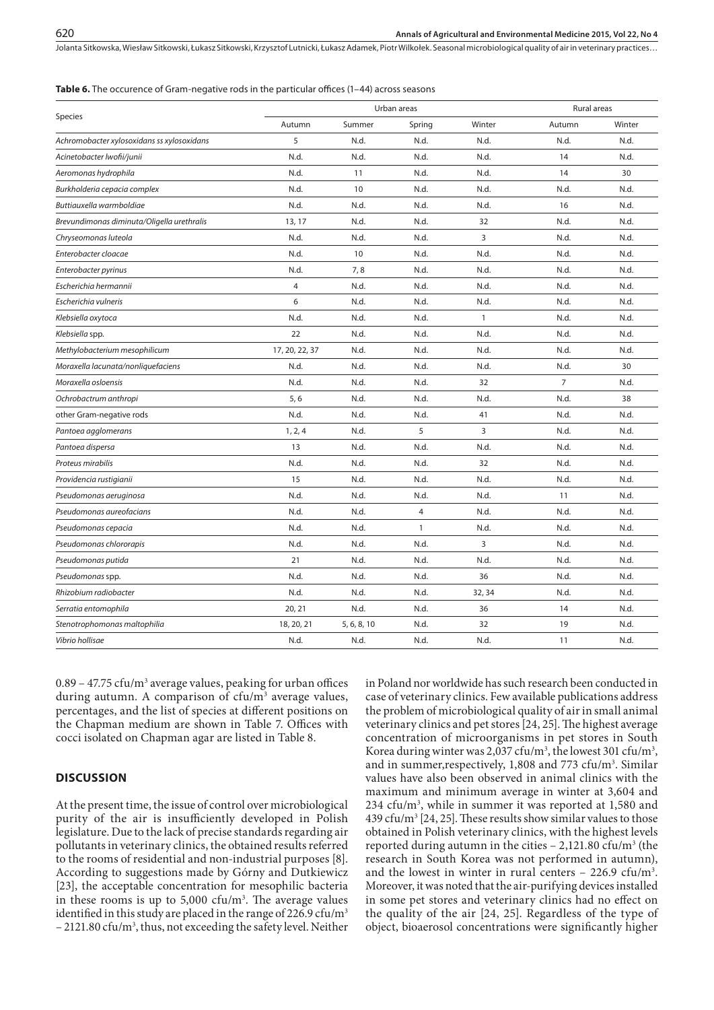#### **Table 6.** The occurence of Gram-negative rods in the particular offices (1–44) across seasons

|                                            |                |             | Urban areas  |        | Rural areas    |        |  |  |
|--------------------------------------------|----------------|-------------|--------------|--------|----------------|--------|--|--|
| Species                                    | Autumn         | Summer      | Spring       | Winter | Autumn         | Winter |  |  |
| Achromobacter xylosoxidans ss xylosoxidans | 5              | N.d.        | N.d.         | N.d.   | N.d.           | N.d.   |  |  |
| Acinetobacter lwofii/junii                 | N.d.           | N.d.        | N.d.         | N.d.   | 14             | N.d.   |  |  |
| Aeromonas hydrophila                       | N.d.           | 11          | N.d.         | N.d.   | 14             | 30     |  |  |
| Burkholderia cepacia complex               | N.d.           | 10          | N.d.         | N.d.   | N.d.           | N.d.   |  |  |
| Buttiauxella warmboldiae                   | N.d.           | N.d.        | N.d.         | N.d.   | 16             | N.d.   |  |  |
| Brevundimonas diminuta/Oligella urethralis | 13, 17         | N.d.        | N.d.         | 32     | N.d.           | N.d.   |  |  |
| Chryseomonas luteola                       | N.d.           | N.d.        | N.d.         | 3      | N.d.           | N.d.   |  |  |
| Enterobacter cloacae                       | N.d.           | 10          | N.d.         | N.d.   | N.d.           | N.d.   |  |  |
| Enterobacter pyrinus                       | N.d.           | 7,8         | N.d.         | N.d.   | N.d.           | N.d.   |  |  |
| Escherichia hermannii                      | 4              | N.d.        | N.d.         | N.d.   | N.d.           | N.d.   |  |  |
| Escherichia vulneris                       | 6              | N.d.        | N.d.         | N.d.   | N.d.           | N.d.   |  |  |
| Klebsiella oxytoca                         | N.d.           | N.d.        | N.d.         | 1      | N.d.           | N.d.   |  |  |
| Klebsiella spp.                            | 22             | N.d.        | N.d.         | N.d.   | N.d.           | N.d.   |  |  |
| Methylobacterium mesophilicum              | 17, 20, 22, 37 | N.d.        | N.d.         | N.d.   | N.d.           | N.d.   |  |  |
| Moraxella lacunata/nonliquefaciens         | N.d.           | N.d.        | N.d.         | N.d.   | N.d.           | 30     |  |  |
| Moraxella osloensis                        | N.d.           | N.d.        | N.d.         | 32     | $\overline{7}$ | N.d.   |  |  |
| Ochrobactrum anthropi                      | 5,6            | N.d.        | N.d.         | N.d.   | N.d.           | 38     |  |  |
| other Gram-negative rods                   | N.d.           | N.d.        | N.d.         | 41     | N.d.           | N.d.   |  |  |
| Pantoea agglomerans                        | 1, 2, 4        | N.d.        | 5            | 3      | N.d.           | N.d.   |  |  |
| Pantoea dispersa                           | 13             | N.d.        | N.d.         | N.d.   | N.d.           | N.d.   |  |  |
| Proteus mirabilis                          | N.d.           | N.d.        | N.d.         | 32     | N.d.           | N.d.   |  |  |
| Providencia rustigianii                    | 15             | N.d.        | N.d.         | N.d.   | N.d.           | N.d.   |  |  |
| Pseudomonas aeruginosa                     | N.d.           | N.d.        | N.d.         | N.d.   | 11             | N.d.   |  |  |
| Pseudomonas aureofacians                   | N.d.           | N.d.        | 4            | N.d.   | N.d.           | N.d.   |  |  |
| Pseudomonas cepacia                        | N.d.           | N.d.        | $\mathbf{1}$ | N.d.   | N.d.           | N.d.   |  |  |
| Pseudomonas chlororapis                    | N.d.           | N.d.        | N.d.         | 3      | N.d.           | N.d.   |  |  |
| Pseudomonas putida                         | 21             | N.d.        | N.d.         | N.d.   | N.d.           | N.d.   |  |  |
| Pseudomonas spp.                           | N.d.           | N.d.        | N.d.         | 36     | N.d.           | N.d.   |  |  |
| Rhizobium radiobacter                      | N.d.           | N.d.        | N.d.         | 32, 34 | N.d.           | N.d.   |  |  |
| Serratia entomophila                       | 20, 21         | N.d.        | N.d.         | 36     | 14             | N.d.   |  |  |
| Stenotrophomonas maltophilia               | 18, 20, 21     | 5, 6, 8, 10 | N.d.         | 32     | 19             | N.d.   |  |  |
| Vibrio hollisae                            | N.d.           | N.d.        | N.d.         | N.d.   | 11             | N.d.   |  |  |

 $0.89 - 47.75 \text{ cfu/m}^3$  average values, peaking for urban offices during autumn. A comparison of cfu/m<sup>3</sup> average values, percentages, and the list of species at different positions on the Chapman medium are shown in Table 7. Offices with cocci isolated on Chapman agar are listed in Table 8.

#### **DISCUSSION**

At the present time, the issue of control over microbiological purity of the air is insufficiently developed in Polish legislature. Due to the lack of precise standards regarding air pollutants in veterinary clinics, the obtained results referred to the rooms of residential and non-industrial purposes [8]. According to suggestions made by Górny and Dutkiewicz [23], the acceptable concentration for mesophilic bacteria in these rooms is up to  $5,000$  cfu/m<sup>3</sup>. The average values identified in this study are placed in the range of 226.9 cfu/ $m<sup>3</sup>$  $-2121.80 \text{ cfu/m}^3$ , thus, not exceeding the safety level. Neither in Poland nor worldwide has such research been conducted in case of veterinary clinics. Few available publications address the problem of microbiological quality of air in small animal veterinary clinics and pet stores [24, 25]. The highest average concentration of microorganisms in pet stores in South Korea during winter was 2,037 cfu/m<sup>3</sup>, the lowest 301 cfu/m<sup>3</sup>, and in summer, respectively,  $1,808$  and  $773$  cfu/m<sup>3</sup>. Similar values have also been observed in animal clinics with the maximum and minimum average in winter at 3,604 and 234 cfu/m<sup>3</sup>, while in summer it was reported at 1,580 and 439 cfu/m<sup>3</sup> [24, 25]. These results show similar values to those obtained in Polish veterinary clinics, with the highest levels reported during autumn in the cities  $- 2,121.80 \text{ cfu/m}^3$  (the research in South Korea was not performed in autumn), and the lowest in winter in rural centers  $-226.9 \text{ cfu/m}^3$ . Moreover, it was noted that the air-purifying devices installed in some pet stores and veterinary clinics had no effect on the quality of the air [24, 25]. Regardless of the type of object, bioaerosol concentrations were significantly higher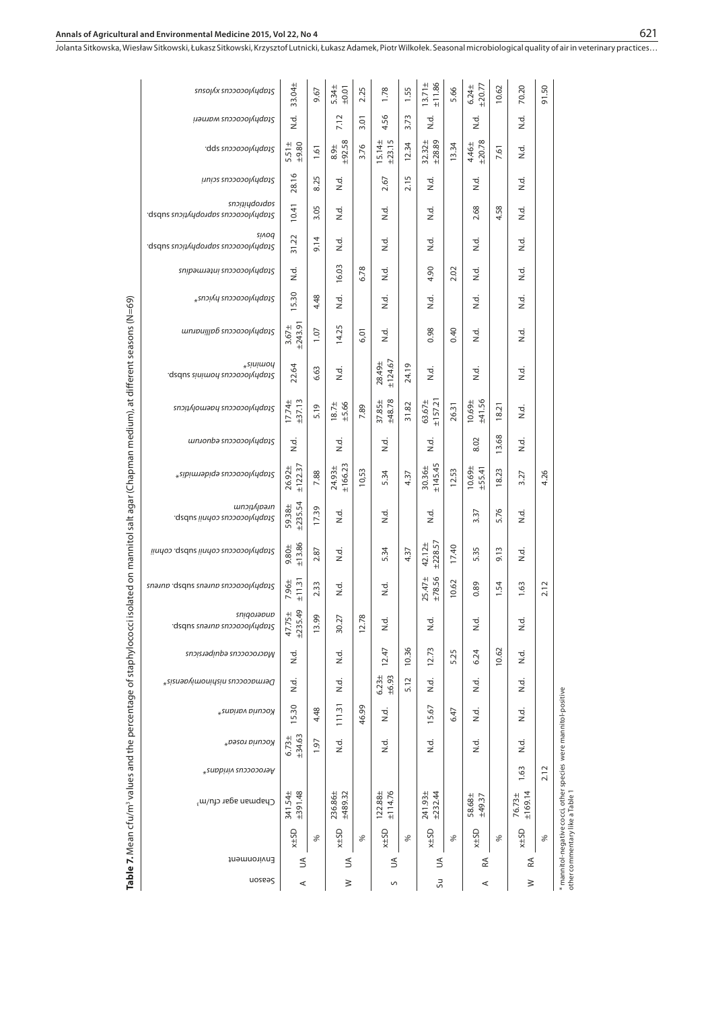| snso <sub>l</sub> <i>(x snooool Aydb15</i>          | 33.04±                 | 9.67                 | 5.34±<br>±0.01        | 2.25  | 1.78                  | 1.55  | ±11.86<br>$13.71 \pm$  | 5.66  | ±20.77<br>$6.24 \pm$ | 10.62 | 70.20             | 91.50 |  |
|-----------------------------------------------------|------------------------|----------------------|-----------------------|-------|-----------------------|-------|------------------------|-------|----------------------|-------|-------------------|-------|--|
| <b>μ</b> <i>aunom snopoool Audbas</i>               | zi                     |                      | 7.12                  | 3.01  | 4.56                  | 3.73  | ਤੂਂ                    |       | ਤੂਂ<br>2             |       | zi<br>Zi          |       |  |
| dds snoooool Audois                                 | $5.51 \pm$<br>±9.80    | 1.61                 | ±92.58<br>$8.9 +$     | 3.76  | ±23.15<br>$15.14 \pm$ | 12.34 | $32.32 \pm$<br>±28.89  | 13.34 | ±20.78<br>4.46±      | 7.61  | ن<br>اح           |       |  |
| unips snppooolvngpt2                                | 28.16                  | 8.25                 | zi<br>Z               |       | 2.67                  | 2.15  | zi<br>Zi               |       | 호<br>N               |       | si<br>Zi          |       |  |
| snoitidooqos<br>dsqns snɔitvhqoาqɒs snɔɔoɔolvhqɒtʔ. | 10.41                  | 3.05                 | zi<br>Z               |       | ਤ<br>2                |       | ਤ<br>ਟ                 |       | 2.68                 | 4.58  | zi<br>Zi          |       |  |
| <b>SIVOG</b><br>dsqns snou Aydoudos snoooooyydous   | 31.22                  | 9.14                 | z.                    |       | ਤ<br>2                |       | ਤ<br>2                 |       | zi<br>Z              |       | 호<br>N.           |       |  |
| chopylococcus interminations                        | si<br>N                |                      | 16.03                 | 6.78  | si<br>Zi              |       | 4.90                   | 2.02  | zi<br>Zi             |       | ਤੂਂ<br>2          |       |  |
| <sub>*</sub> suɔivh euɔɔoɔolvhqpɔt2                 | 15.30                  | 4.48                 | o.<br>Z               |       | ਤ<br>2                |       | ਤ<br>ਟ                 |       | ਤੂਂ<br>2             |       | ਹ<br>2            |       |  |
| un.ipujjp6 snooooj/ydp15                            | ±243.91<br>$3.67 +$    | 1.07                 | 14.25                 | 6,01  | zi<br>Zi              |       | 0.98                   | 0.40  | zi<br>Zi             |       | ਤੂ<br>ਵ           |       |  |
| $*$ sinimon<br>gsdus sinimon ausosolynqpi?          | 22.64                  | 6.63                 | zi<br>Z               |       | ±124.67<br>28.49±     | 24.19 | ਤ<br>2                 |       | zi<br>Zi             |       | ਤੂਂ<br>2          |       |  |
| ς τουμλιουν της επροσολικής επι                     | $17.74 \pm 13.13$      | 5.19                 | $18.7 +$<br>$+5.66$   | 7.89  | ±48.78<br>37.85±      | 31.82 | 63.67±<br>±157.21      | 26.31 | ±41.56<br>10.69±     | 18.21 | ci<br>Z           |       |  |
| un under shooool and by                             | zi<br>Zi               |                      | zi<br>Zi              |       | zi<br>Zi              |       | zi<br>Zi               |       | 8.02                 | 13.68 | zi<br>Zi          |       |  |
| *sibimylococcus epidermidix*                        | ±122.37<br>$26.92 \pm$ | 7.88                 | ±166.23<br>24.93±     | 10,53 | 5.34                  | 4.37  | ±145.45<br>$30.36 \pm$ | 12.53 | 10.69±<br>±55.41     | 18.23 | 3.27              | 4.26  |  |
| unsityticum<br>asdus linnos cohnii subsp.           | ±235.54<br>59.38±      | 17.39                | z.                    |       | ਤ<br>2                |       | ਤ<br>2                 |       | 3.37                 | 5.76  | zi<br>Zi          |       |  |
| Staphylococcus cohnii subsp. cohnii                 | ±13.86<br>9.80±        | 2.87                 | ਤ<br>2                |       | 5.34                  | 4.37  | ±228.57<br>42.12±      | 17.40 | 5.35                 | 9.13  | ci<br>Z           |       |  |
| gnainp dsqns snainp snooooolyddbig                  | ±11.31<br>$7.96 +$     | 2.33                 | zi<br>Z               |       | ਤੂਂ                   |       | $25.47 \pm$<br>±78.56  | 10.62 | 0.89                 | 1.54  | 1.63              | 2.12  |  |
| anidoronno<br>asqns snəinb snəəoəojnyabiş           | ±235.49<br>$47.75 \pm$ | 99<br>$\overline{5}$ | 27<br>$\overline{30}$ | 12.78 | ರ<br>ż                |       | ರ<br>Ż                 |       | ੍<br>ż               |       | ಕ<br>Ż            |       |  |
| Macrococcus equipersicus                            | zi<br>Z                |                      | ਦੇ<br>ਪ               |       | 12.47                 | 10.36 | 12.73                  | 5.25  | 6.24                 | 10.62 | $\vec{z}$         |       |  |
| Permacoccus nishinomiyaensis*                       | zi<br>Zi               |                      | si<br>Zi              |       | $6.23 + 16.93$        | 5.12  | zi<br>Zi               |       | zi<br>Zi             |       | ن<br>اح           |       |  |
| Kocuria varians*                                    | 15.30                  | 4.48                 | 111.31                | 46.99 | zi<br>Zi              |       | 15.67                  | 6.47  | zi<br>Zi             |       | ਦੇ<br>ਕ           |       |  |
| kocuria rosea <sup>*</sup>                          | $6.73 \pm 1.63$        | 1.97                 | N.d.                  |       | zi<br>Zi              |       | zi<br>Zi               |       | zi<br>Zi             |       | zi<br>Zi          |       |  |
| * <i>erococcus</i> viridans*                        |                        |                      |                       |       |                       |       |                        |       |                      |       | 1.63              | 2.12  |  |
| Chapman agar cfu/m <sup>3</sup>                     | 341.54±<br>±391.48     |                      | 236.86±<br>±489.32    |       | $122.88 +$<br>±114.76 |       | 241.93±<br>±232.44     |       | 58.68±<br>±49.37     |       | ±169.14<br>76.73± |       |  |
|                                                     | <b>AHSD</b>            | ℅                    | <b>GSFX</b>           | ℅     | <b>OSFX</b>           | ℅     | <b>OSFX</b>            | ℅     | <b>OSFX</b>          | ℅     | <b>AHSD</b>       | $\%$  |  |
| Environment                                         | $\mathfrak{S}$         |                      | $\mathfrak{S}$        |       | ₹                     |       | $\preceq$              |       | RA                   |       | Æ                 |       |  |
| uoseas                                              | ⋖                      |                      | ≷                     |       | S                     |       | Su                     |       | ⋖                    |       | $\geq$            |       |  |

Table 7. Mean cfu/m<sup>3</sup> values and the percentage of staphylococci isolated on mannitol salt agar (Chapman medium), at different seasons (N=69) **Table 7.** Mean cfu/m3 values and the percentage of staphylococci isolated on mannitol salt agar (Chapman medium), at different seasons (N=69)

\* mannitol-negative cocci, other species were mannitol-positive

\* mannitol-negative cocci, other species were mannitol-positive<br>other commentary like a Table 1

other commentary like a Table 1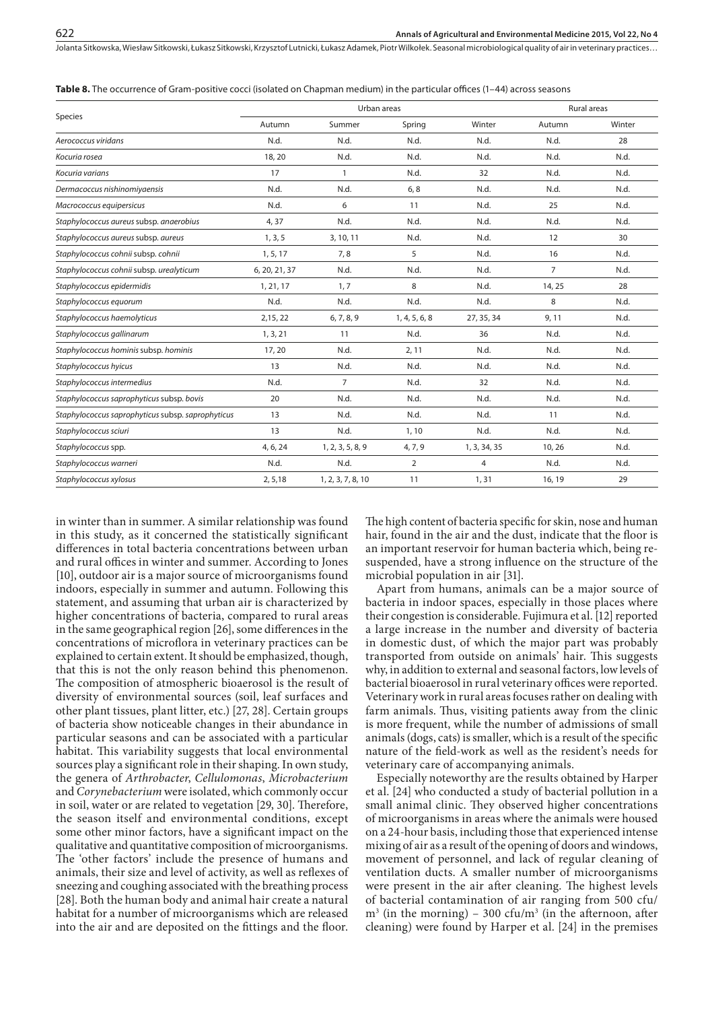|  |  |  | <b>Table 8.</b> The occurrence of Gram-positive cocci (isolated on Chapman medium) in the particular offices (1–44) across seasons |  |  |  |  |  |  |  |  |  |  |  |  |  |  |  |  |  |  |  |  |  |  |
|--|--|--|------------------------------------------------------------------------------------------------------------------------------------|--|--|--|--|--|--|--|--|--|--|--|--|--|--|--|--|--|--|--|--|--|--|
|--|--|--|------------------------------------------------------------------------------------------------------------------------------------|--|--|--|--|--|--|--|--|--|--|--|--|--|--|--|--|--|--|--|--|--|--|

|                                                   |               | Urban areas       |                |                | Rural areas    |        |  |  |
|---------------------------------------------------|---------------|-------------------|----------------|----------------|----------------|--------|--|--|
| Species                                           | Autumn        | Summer            | Spring         | Winter         | Autumn         | Winter |  |  |
| Aerococcus viridans                               | N.d.          | N.d.              | N.d.           | N.d.           | N.d.           | 28     |  |  |
| Kocuria rosea                                     | 18,20         | N.d.              | N.d.           | N.d.           | N.d.           | N.d.   |  |  |
| Kocuria varians                                   | 17            | $\mathbf{1}$      | N.d.           | 32             | N.d.           | N.d.   |  |  |
| Dermacoccus nishinomiyaensis                      | N.d.          | N.d.              | 6, 8           | N.d.           | N.d.           | N.d.   |  |  |
| Macrococcus equipersicus                          | N.d.          | 6                 | 11             | N.d.           | 25             | N.d.   |  |  |
| Staphylococcus aureus subsp. anaerobius           | 4,37          | N.d.              | N.d.           | N.d.           | N.d.           | N.d.   |  |  |
| Staphylococcus aureus subsp. aureus               | 1, 3, 5       | 3, 10, 11         | N.d.           | N.d.           | 12             | 30     |  |  |
| Staphylococcus cohnii subsp. cohnii               | 1, 5, 17      | 7,8               | 5              | N.d.           | 16             | N.d.   |  |  |
| Staphylococcus cohnii subsp. urealyticum          | 6, 20, 21, 37 | N.d.              | N.d.           | N.d.           | $\overline{7}$ | N.d.   |  |  |
| Staphylococcus epidermidis                        | 1, 21, 17     | 1, 7              | 8              | N.d.           | 14, 25         | 28     |  |  |
| Staphylococcus equorum                            | N.d.          | N.d.              | N.d.           | N.d.           | 8              | N.d.   |  |  |
| Staphylococcus haemolyticus                       | 2,15,22       | 6, 7, 8, 9        | 1, 4, 5, 6, 8  | 27, 35, 34     | 9,11           | N.d.   |  |  |
| Staphylococcus gallinarum                         | 1, 3, 21      | 11                | N.d.           | 36             | N.d.           | N.d.   |  |  |
| Staphylococcus hominis subsp. hominis             | 17, 20        | N.d.              | 2, 11          | N.d.           | N.d.           | N.d.   |  |  |
| Staphylococcus hyicus                             | 13            | N.d.              | N.d.           | N.d.           | N.d.           | N.d.   |  |  |
| Staphylococcus intermedius                        | N.d.          | $\overline{7}$    | N.d.           | 32             | N.d.           | N.d.   |  |  |
| Staphylococcus saprophyticus subsp. bovis         | 20            | N.d.              | N.d.           | N.d.           | N.d.           | N.d.   |  |  |
| Staphylococcus saprophyticus subsp. saprophyticus | 13            | N.d.              | N.d.           | N.d.           | 11             | N.d.   |  |  |
| Staphylococcus sciuri                             | 13            | N.d.              | 1, 10          | N.d.           | N.d.           | N.d.   |  |  |
| Staphylococcus spp.                               | 4, 6, 24      | 1, 2, 3, 5, 8, 9  | 4, 7, 9        | 1, 3, 34, 35   | 10, 26         | N.d.   |  |  |
| Staphylococcus warneri                            | N.d.          | N.d.              | $\overline{2}$ | $\overline{4}$ | N.d.           | N.d.   |  |  |
| Staphylococcus xylosus                            | 2, 5, 18      | 1, 2, 3, 7, 8, 10 | 11             | 1, 31          | 16, 19         | 29     |  |  |

in winter than in summer. A similar relationship was found in this study, as it concerned the statistically significant differences in total bacteria concentrations between urban and rural offices in winter and summer. According to Jones [10], outdoor air is a major source of microorganisms found indoors, especially in summer and autumn. Following this statement, and assuming that urban air is characterized by higher concentrations of bacteria, compared to rural areas in the same geographical region [26], some differences in the concentrations of microflora in veterinary practices can be explained to certain extent. It should be emphasized, though, that this is not the only reason behind this phenomenon. The composition of atmospheric bioaerosol is the result of diversity of environmental sources (soil, leaf surfaces and other plant tissues, plant litter, etc.) [27, 28]. Certain groups of bacteria show noticeable changes in their abundance in particular seasons and can be associated with a particular habitat. This variability suggests that local environmental sources play a significant role in their shaping. In own study, the genera of *Arthrobacter*, *Cellulomonas*, *Microbacterium* and *Corynebacterium* were isolated, which commonly occur in soil, water or are related to vegetation [29, 30]. Therefore, the season itself and environmental conditions, except some other minor factors, have a significant impact on the qualitative and quantitative composition of microorganisms. The 'other factors' include the presence of humans and animals, their size and level of activity, as well as reflexes of sneezing and coughing associated with the breathing process [28]. Both the human body and animal hair create a natural habitat for a number of microorganisms which are released into the air and are deposited on the fittings and the floor.

The high content of bacteria specific for skin, nose and human hair, found in the air and the dust, indicate that the floor is an important reservoir for human bacteria which, being resuspended, have a strong influence on the structure of the microbial population in air [31].

Apart from humans, animals can be a major source of bacteria in indoor spaces, especially in those places where their congestion is considerable. Fujimura et al. [12] reported a large increase in the number and diversity of bacteria in domestic dust, of which the major part was probably transported from outside on animals' hair. This suggests why, in addition to external and seasonal factors, low levels of bacterial bioaerosol in rural veterinary offices were reported. Veterinary work in rural areas focuses rather on dealing with farm animals. Thus, visiting patients away from the clinic is more frequent, while the number of admissions of small animals (dogs, cats) is smaller, which is a result of the specific nature of the field-work as well as the resident's needs for veterinary care of accompanying animals.

Especially noteworthy are the results obtained by Harper et al. [24] who conducted a study of bacterial pollution in a small animal clinic. They observed higher concentrations of microorganisms in areas where the animals were housed on a 24-hour basis, including those that experienced intense mixing of air as a result of the opening of doors and windows, movement of personnel, and lack of regular cleaning of ventilation ducts. A smaller number of microorganisms were present in the air after cleaning. The highest levels of bacterial contamination of air ranging from 500 cfu/  $m<sup>3</sup>$  (in the morning) – 300 cfu/m<sup>3</sup> (in the afternoon, after cleaning) were found by Harper et al. [24] in the premises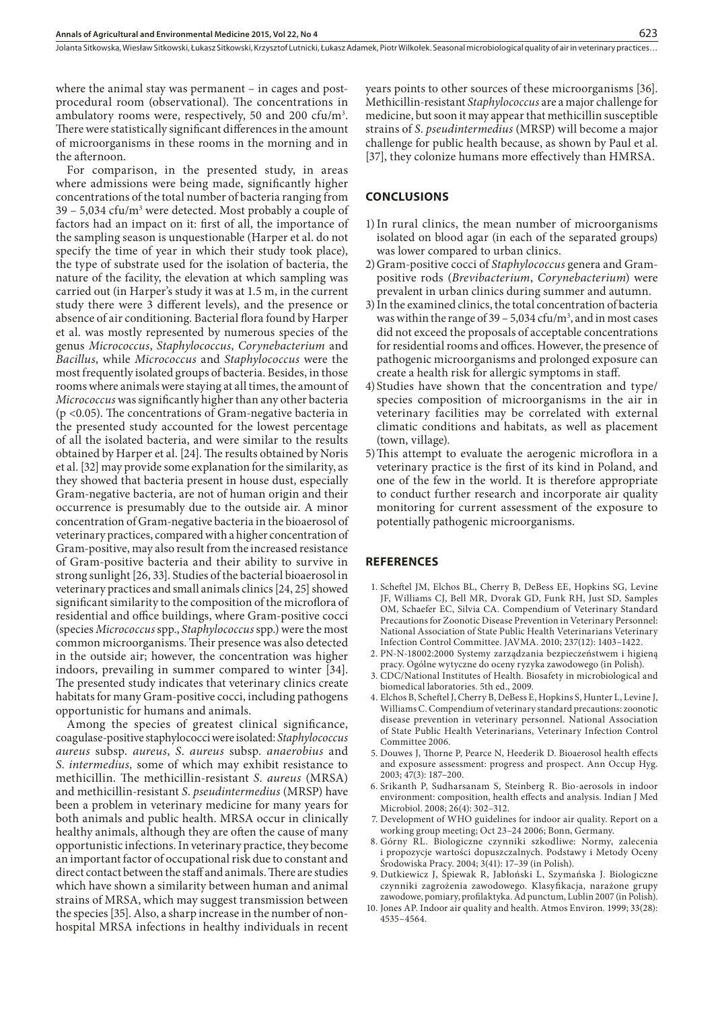where the animal stay was permanent – in cages and postprocedural room (observational). The concentrations in ambulatory rooms were, respectively, 50 and 200 cfu/m<sup>3</sup>. There were statistically significant differences in the amount of microorganisms in these rooms in the morning and in the afternoon.

For comparison, in the presented study, in areas where admissions were being made, significantly higher concentrations of the total number of bacteria ranging from 39 – 5,034 cfu/m<sup>3</sup> were detected. Most probably a couple of factors had an impact on it: first of all, the importance of the sampling season is unquestionable (Harper et al. do not specify the time of year in which their study took place), the type of substrate used for the isolation of bacteria, the nature of the facility, the elevation at which sampling was carried out (in Harper's study it was at 1.5 m, in the current study there were 3 different levels), and the presence or absence of air conditioning. Bacterial flora found by Harper et al. was mostly represented by numerous species of the genus *Micrococcus*, *Staphylococcus*, *Corynebacterium* and *Bacillus*, while *Micrococcus* and *Staphylococcus* were the most frequently isolated groups of bacteria. Besides, in those rooms where animals were staying at all times, the amount of *Micrococcus* was significantly higher than any other bacteria (p <0.05). The concentrations of Gram-negative bacteria in the presented study accounted for the lowest percentage of all the isolated bacteria, and were similar to the results obtained by Harper et al. [24]. The results obtained by Noris et al. [32] may provide some explanation for the similarity, as they showed that bacteria present in house dust, especially Gram-negative bacteria, are not of human origin and their occurrence is presumably due to the outside air. A minor concentration of Gram-negative bacteria in the bioaerosol of veterinary practices, compared with a higher concentration of Gram-positive, may also result from the increased resistance of Gram-positive bacteria and their ability to survive in strong sunlight [26, 33]. Studies of the bacterial bioaerosol in veterinary practices and small animals clinics [24, 25] showed significant similarity to the composition of the microflora of residential and office buildings, where Gram-positive cocci (species *Micrococcus* spp., *Staphylococcus* spp.) were the most common microorganisms. Their presence was also detected in the outside air; however, the concentration was higher indoors, prevailing in summer compared to winter [34]. The presented study indicates that veterinary clinics create habitats for many Gram-positive cocci, including pathogens opportunistic for humans and animals.

Among the species of greatest clinical significance, coagulase-positive staphylococci were isolated: *Staphylococcus aureus* subsp. *aureus*, *S*. *aureus* subsp. *anaerobius* and *S*. *intermedius,* some of which may exhibit resistance to methicillin. The methicillin-resistant *S*. *aureus* (MRSA) and methicillin-resistant *S*. *pseudintermedius* (MRSP) have been a problem in veterinary medicine for many years for both animals and public health. MRSA occur in clinically healthy animals, although they are often the cause of many opportunistic infections. In veterinary practice, they become an important factor of occupational risk due to constant and direct contact between the staff and animals. There are studies which have shown a similarity between human and animal strains of MRSA, which may suggest transmission between the species [35]. Also, a sharp increase in the number of nonhospital MRSA infections in healthy individuals in recent

years points to other sources of these microorganisms [36]. Methicillin-resistant *Staphylococcus* are a major challenge for medicine, but soon it may appear that methicillin susceptible strains of *S*. *pseudintermedius* (MRSP) will become a major challenge for public health because, as shown by Paul et al. [37], they colonize humans more effectively than HMRSA.

#### **CONCLUSIONS**

- 1)In rural clinics, the mean number of microorganisms isolated on blood agar (in each of the separated groups) was lower compared to urban clinics.
- 2)Gram-positive cocci of *Staphylococcus* genera and Grampositive rods (*Brevibacterium*, *Corynebacterium*) were prevalent in urban clinics during summer and autumn.
- 3)In the examined clinics, the total concentration of bacteria was within the range of  $39 - 5,034 \text{ cfu/m}^3$ , and in most cases did not exceed the proposals of acceptable concentrations for residential rooms and offices. However, the presence of pathogenic microorganisms and prolonged exposure can create a health risk for allergic symptoms in staff.
- 4)Studies have shown that the concentration and type/ species composition of microorganisms in the air in veterinary facilities may be correlated with external climatic conditions and habitats, as well as placement (town, village).
- 5)This attempt to evaluate the aerogenic microflora in a veterinary practice is the first of its kind in Poland, and one of the few in the world. It is therefore appropriate to conduct further research and incorporate air quality monitoring for current assessment of the exposure to potentially pathogenic microorganisms.

#### **REFERENCES**

- 1. [Scheftel](http://avmajournals.avma.org/action/doSearch?action=runSearch&type=advanced&result=true&prevSearch=%2Bauthorsfield%3A%28Scheftel%2C+Joni+M.%29) JM, [Elchos](http://avmajournals.avma.org/action/doSearch?action=runSearch&type=advanced&result=true&prevSearch=%2Bauthorsfield%3A%28Elchos%2C+Brigid+L.%29) BL, [Cherry](http://avmajournals.avma.org/action/doSearch?action=runSearch&type=advanced&result=true&prevSearch=%2Bauthorsfield%3A%28Cherry%2C+Bryan%29) B[, DeBess](http://avmajournals.avma.org/action/doSearch?action=runSearch&type=advanced&result=true&prevSearch=%2Bauthorsfield%3A%28DeBess%2C+Emilio+E.%29) EE, [Hopkins](http://avmajournals.avma.org/action/doSearch?action=runSearch&type=advanced&result=true&prevSearch=%2Bauthorsfield%3A%28Hopkins%2C+Sharon+G.%29) SG, [Levine](http://avmajournals.avma.org/action/doSearch?action=runSearch&type=advanced&result=true&prevSearch=%2Bauthorsfield%3A%28Levine%2C+Jay+F.%29) JF, [Williams](http://avmajournals.avma.org/action/doSearch?action=runSearch&type=advanced&result=true&prevSearch=%2Bauthorsfield%3A%28Williams%2C+Carl+J.%29) CJ, [Bell](http://avmajournals.avma.org/action/doSearch?action=runSearch&type=advanced&result=true&prevSearch=%2Bauthorsfield%3A%28Bell%2C+Michael+R.%29) MR, [Dvorak](http://avmajournals.avma.org/action/doSearch?action=runSearch&type=advanced&result=true&prevSearch=%2Bauthorsfield%3A%28Dvorak%2C+Glenda+D.%29) GD, [Funk](http://avmajournals.avma.org/action/doSearch?action=runSearch&type=advanced&result=true&prevSearch=%2Bauthorsfield%3A%28Funk%2C+Renee+H.%29) RH, Just SD, [Samples](http://avmajournals.avma.org/action/doSearch?action=runSearch&type=advanced&result=true&prevSearch=%2Bauthorsfield%3A%28Samples%2C+Oreta+M.%29) OM, [Schaefer](http://avmajournals.avma.org/action/doSearch?action=runSearch&type=advanced&result=true&prevSearch=%2Bauthorsfield%3A%28Schaefer%2C+Elysia+C.%29) EC, [Silvia](http://avmajournals.avma.org/action/doSearch?action=runSearch&type=advanced&result=true&prevSearch=%2Bauthorsfield%3A%28Silvia%2C+Christine+A.%29) CA. Compendium of Veterinary Standard Precautions for Zoonotic Disease Prevention in Veterinary Personnel: National Association of State Public Health Veterinarians Veterinary Infection Control Committee. JAVMA. 2010; 237(12): 1403–1422.
- 2. PN-N-18002:2000 Systemy zarządzania bezpieczeństwem i higieną pracy. Ogólne wytyczne do oceny ryzyka zawodowego (in Polish).
- 3. CDC/National Institutes of Health. Biosafety in microbiological and biomedical laboratories. 5th ed., 2009.
- 4. Elchos B, Scheftel J, Cherry B, DeBess E, Hopkins S, Hunter L, Levine J, Williams C. Compendium of veterinary standard precautions: zoonotic disease prevention in veterinary personnel. National Association of State Public Health Veterinarians, Veterinary Infection Control Committee 2006.
- 5. Douwes J, Thorne P, Pearce N, Heederik D. Bioaerosol health effects and exposure assessment: progress and prospect. Ann Occup Hyg. 2003; 47(3): 187–200.
- 6. Srikanth P, Sudharsanam S, Steinberg R. Bio-aerosols in indoor environment: composition, health effects and analysis. Indian J Med Microbiol. 2008; 26(4): 302–312.
- 7. Development of WHO guidelines for indoor air quality. Report on a working group meeting; Oct 23–24 2006; Bonn, Germany.
- 8. Górny RL. Biologiczne czynniki szkodliwe: Normy, zalecenia i propozycje wartości dopuszczalnych. Podstawy i Metody Oceny Środowiska Pracy. 2004; 3(41): 17–39 (in Polish).
- 9. Dutkiewicz J, Śpiewak R, Jabłoński L, Szymańska J. Biologiczne czynniki zagrożenia zawodowego. Klasyfikacja, narażone grupy zawodowe, pomiary, profilaktyka. Ad punctum, Lublin 2007 (in Polish).
- 10. Jones AP. Indoor air quality and health. Atmos Environ. 1999; 33(28): 4535–4564.